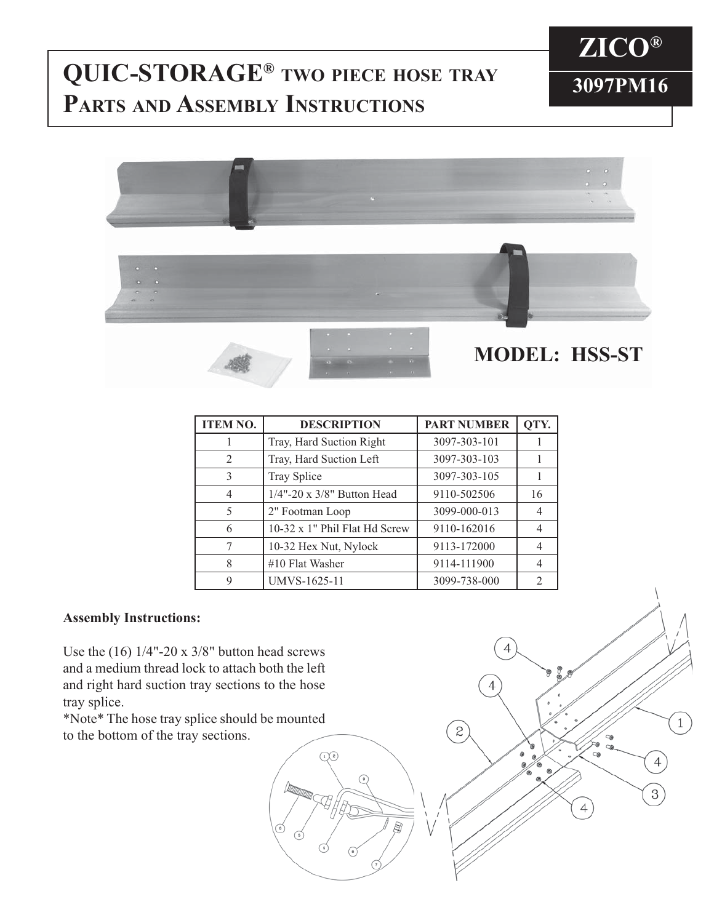## **3097PM16 QUIC-STORAGE® TWO PIECE HOSE TRAY PARTS AND ASSEMBLY INSTRUCTIONS**





| <b>ITEM NO.</b> | <b>DESCRIPTION</b>            | <b>PART NUMBER</b> | QTY. |
|-----------------|-------------------------------|--------------------|------|
|                 | Tray, Hard Suction Right      | 3097-303-101       |      |
| $\mathcal{L}$   | Tray, Hard Suction Left       | 3097-303-103       |      |
| 3               | Tray Splice                   | 3097-303-105       |      |
| 4               | 1/4"-20 x 3/8" Button Head    | 9110-502506        | 16   |
| 5               | 2" Footman Loop               | 3099-000-013       | 4    |
| 6               | 10-32 x 1" Phil Flat Hd Screw | 9110-162016        | 4    |
|                 | 10-32 Hex Nut, Nylock         | 9113-172000        | 4    |
| 8               | #10 Flat Washer               | 9114-111900        |      |
| 9               | UMVS-1625-11                  | 3099-738-000       |      |

4

 $\overline{c}$ 

 $\mathbf{1}$ 

4

 $3)$ 

4

## **Assembly Instructions:**

Use the (16) 1/4"-20 x 3/8" button head screws and a medium thread lock to attach both the left and right hard suction tray sections to the hose tray splice.

\*Note\* The hose tray splice should be mounted to the bottom of the tray sections.